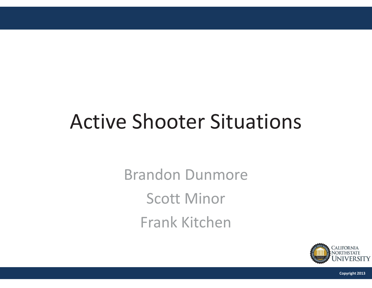## Active Shooter Situations

Brandon Dunmore Scott Minor Frank Kitchen



**Copyright 2013**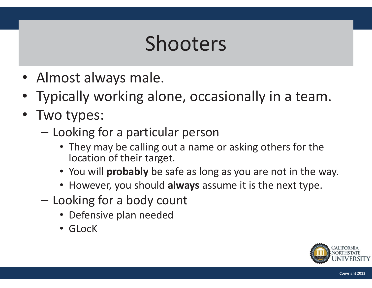## Shooters

- Almost always male.
- Typically working alone, occasionally in a team.
- Two types:
	- $\mathcal{L}_{\mathcal{A}}$ – Looking for a particular person
		- They may be calling out a name or asking others for the location of their target.
		- You will **probably** be safe as long as you are not in the way.
		- However, you should **always** assume it is the next type.
	- $\mathcal{L}_{\mathcal{A}}$ – Looking for a body count
		- Defensive plan needed
		- GLocK

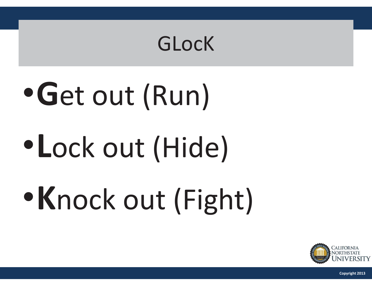#### GLocK

# •**G**et out (Run)

## •**L**ock out (Hide)

# •**K**nock out (Fight)



**Copyright 2013**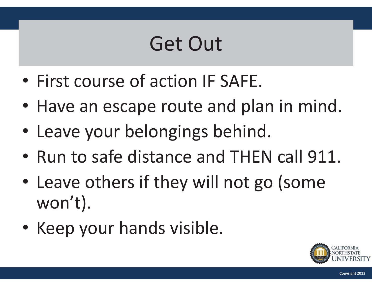### Get Out

- $\bullet$ • First course of action IF SAFE.
- $\bullet$ • Have an escape route and plan in mind.
- $\bullet$ • Leave your belongings behind.
- $\bullet$ • Run to safe distance and THEN call 911.
- $\bullet$ • Leave others if they will not go (some won't).
- $\bullet$ • Keep your hands visible.

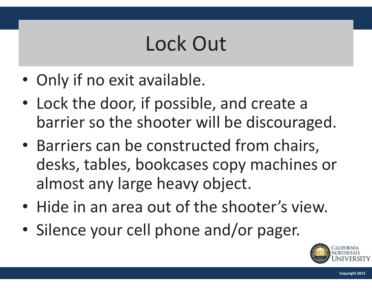## Lock Out

- Only if no exit available.
- Lock the door, if possible, and create a barrier so the shooter will be discouraged.
- Barriers can be constructed from chairs, desks, tables, bookcases copy machines or almost any large heavy object.
- Hide in an area out of the shooter's view.
- $\bullet$ • Silence your cell phone and/or pager.

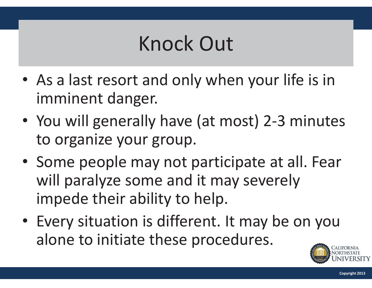## Knock Out

- As a last resort and only when your life is in imminent danger.
- You will generally have (at most) 2-3 minutes to organize your group.
- Some people may not participate at all. Fear will paralyze some and it may severely impede their ability to help.
- Every situation is different. It may be on you alone to initiate these procedures.

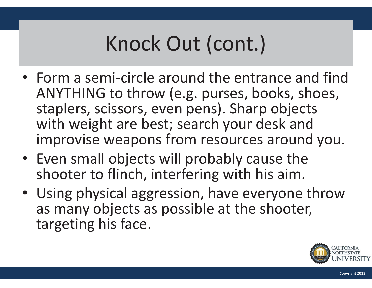## Knock Out (cont.)

- Form a semi-circle around the entrance and find ANYTHING to throw (e.g. purses, books, shoes, staplers, scissors, even pens). Sharp objects with weight are best; search your desk and improvise weapons from resources around you.
- Even small objects will probably cause the shooter to flinch, interfering with his aim.
- Using physical aggression, have everyone throw as many objects as possible at the shooter, targeting his face.

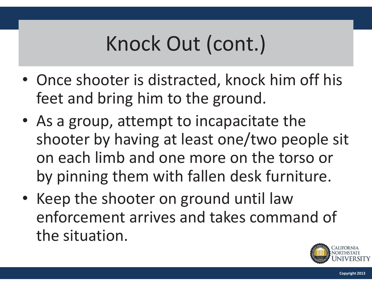## Knock Out (cont.)

- Once shooter is distracted, knock him off his feet and bring him to the ground.
- As a group, attempt to incapacitate the shooter by having at least one/two people sit on each limb and one more on the torso or by pinning them with fallen desk furniture.
- Keep the shooter on ground until law enforcement arrives and takes command of the situation.

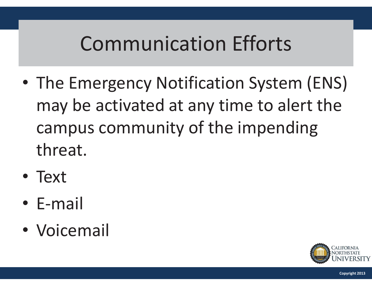- $\bullet$  The Emergency Notification System (ENS) may be activated at any time to alert the campus community of the impending threat.
- Text
- $\bullet$ E-mail
- $\bullet$ Voicemail

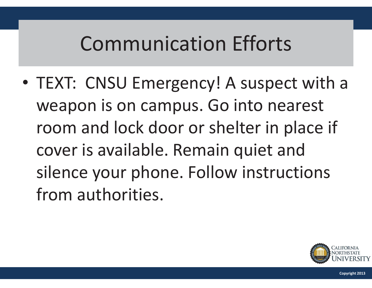$\bullet$  TEXT: CNSU Emergency! A suspect with a weapon is on campus. Go into nearest room and lock door or shelter in place if cover is available. Remain quiet and silence your phone. Follow instructions from authorities.

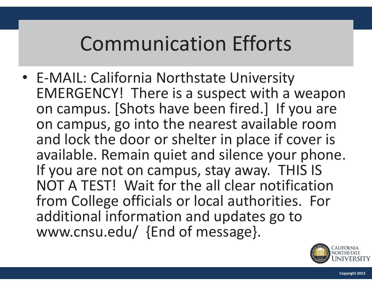• E-MAIL: California Northstate University EMERGENCY! There is a suspect with a weapon on campus. [Shots have been fired.] If you are on campus, go into the nearest available room and lock the door or shelter in place if cover is available. Remain quiet and silence your phone. If you are not on campus, stay away. THIS IS NOT A TEST! Wait for the all clear notification from College officials or local authorities. For additional information and updates go to www.cnsu.edu/ {End of message}.

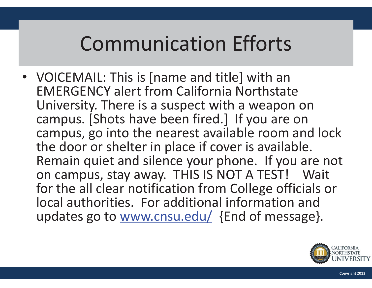• VOICEMAIL: This is [name and title] with an EMERGENCY alert from California Northstate University. There is a suspect with a weapon on campus. [Shots have been fired.] If you are on campus, go into the nearest available room and lock the door or shelter in place if cover is available. Remain quiet and silence your phone. If you are not on campus, stay away. THIS IS NOT A TEST! Wait for the all clear notification from College officials or local authorities. For additional information and updates go to www.cnsu.edu/ {End of message}.

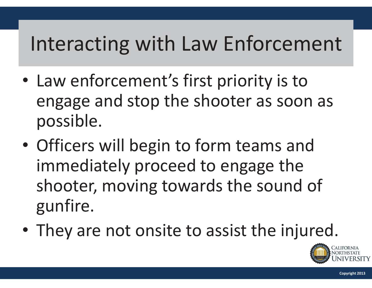## Interacting with Law Enforcement

- • Law enforcement's first priority is to engage and stop the shooter as soon as possible.
- $\bullet$  Officers will begin to form teams and immediately proceed to engage the shooter, moving towards the sound of gunfire.
- $\bullet$ • They are not onsite to assist the injured.

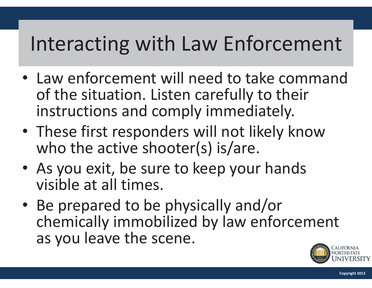## Interacting with Law Enforcement

- Law enforcement will need to take command of the situation. Listen carefully to their instructions and comply immediately.
- These first responders will not likely know who the active shooter(s) is/are.
- As you exit, be sure to keep your hands visible at all times.
- •• Be prepared to be physically and/or chemically immobilized by law enforcement as you leave the scene.

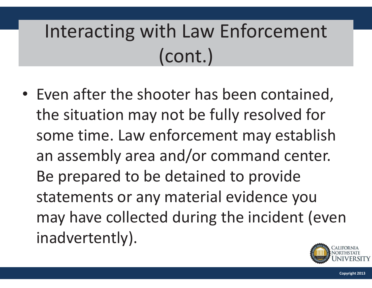## Interacting with Law Enforcement (cont.)

• Even after the shooter has been contained, the situation may not be fully resolved for some time. Law enforcement may establish an assembly area and/or command center. Be prepared to be detained to provide statements or any material evidence you may have collected during the incident (even inadvertently).

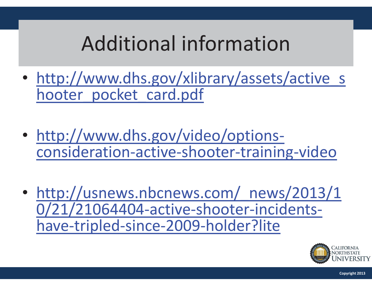## Additional information

- $\bullet$ • http://www.dhs.gov/xlibrary/assets/active\_s hooter pocket card.pdf
- $\bullet$ • http://www.dhs.gov/video/optionsconsideration-active-shooter-training-video
- $\bullet$ • http://usnews.nbcnews.com/ news/2013/1 0/21/21064404-active-shooter-incidentshave-tripled-since-2009-holder?lite